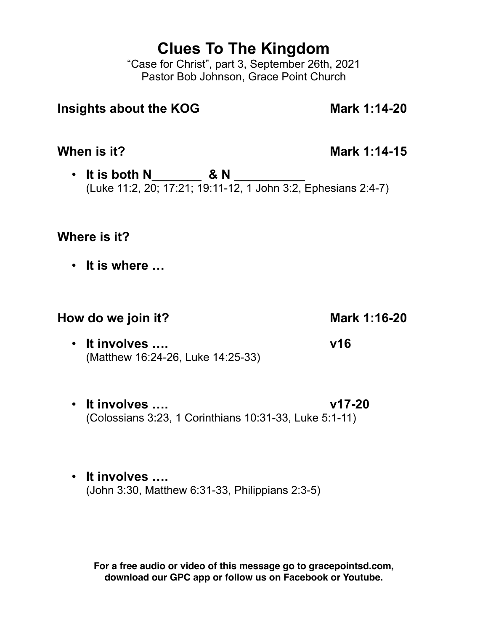# **Clues To The Kingdom**

"Case for Christ", part 3, September 26th, 2021 Pastor Bob Johnson, Grace Point Church

# **Insights about the KOG Mark 1:14-20**

**When is it? Mark 1:14-15** 

• **It is both N\_\_\_\_\_\_\_ & N \_\_\_\_\_\_\_\_\_\_** (Luke 11:2, 20; 17:21; 19:11-12, 1 John 3:2, Ephesians 2:4-7)

### **Where is it?**

• **It is where …**

# **How do we join it?** Mark 1:16-20

- **It involves …. v16** (Matthew 16:24-26, Luke 14:25-33)
- **It involves …. v17-20** (Colossians 3:23, 1 Corinthians 10:31-33, Luke 5:1-11)
- **It involves ….**  (John 3:30, Matthew 6:31-33, Philippians 2:3-5)

**For a free audio or video of this message go to gracepointsd.com, download our GPC app or follow us on Facebook or Youtube.**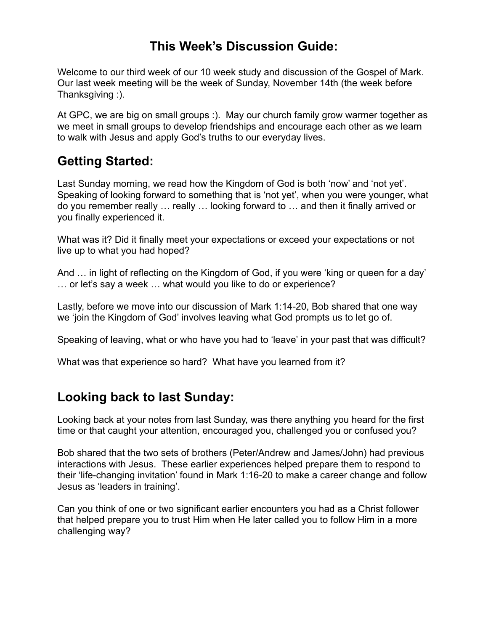# **This Week's Discussion Guide:**

Welcome to our third week of our 10 week study and discussion of the Gospel of Mark. Our last week meeting will be the week of Sunday, November 14th (the week before Thanksgiving :).

At GPC, we are big on small groups :). May our church family grow warmer together as we meet in small groups to develop friendships and encourage each other as we learn to walk with Jesus and apply God's truths to our everyday lives.

# **Getting Started:**

Last Sunday morning, we read how the Kingdom of God is both 'now' and 'not yet'. Speaking of looking forward to something that is 'not yet', when you were younger, what do you remember really … really … looking forward to … and then it finally arrived or you finally experienced it.

What was it? Did it finally meet your expectations or exceed your expectations or not live up to what you had hoped?

And … in light of reflecting on the Kingdom of God, if you were 'king or queen for a day' … or let's say a week … what would you like to do or experience?

Lastly, before we move into our discussion of Mark 1:14-20, Bob shared that one way we 'join the Kingdom of God' involves leaving what God prompts us to let go of.

Speaking of leaving, what or who have you had to 'leave' in your past that was difficult?

What was that experience so hard? What have you learned from it?

# **Looking back to last Sunday:**

Looking back at your notes from last Sunday, was there anything you heard for the first time or that caught your attention, encouraged you, challenged you or confused you?

Bob shared that the two sets of brothers (Peter/Andrew and James/John) had previous interactions with Jesus. These earlier experiences helped prepare them to respond to their 'life-changing invitation' found in Mark 1:16-20 to make a career change and follow Jesus as 'leaders in training'.

Can you think of one or two significant earlier encounters you had as a Christ follower that helped prepare you to trust Him when He later called you to follow Him in a more challenging way?